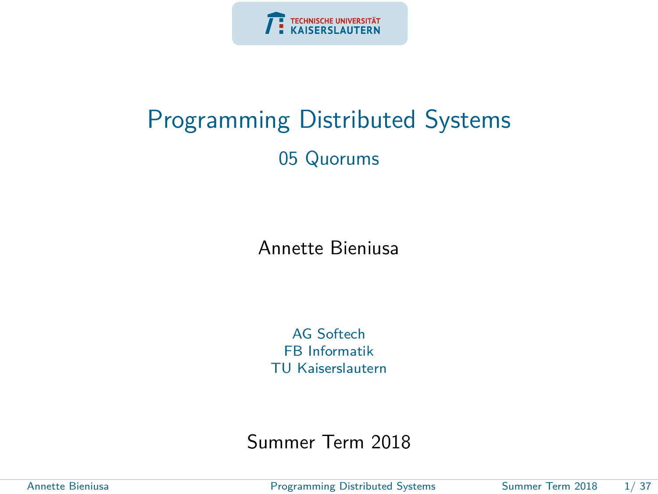

# <span id="page-0-0"></span>Programming Distributed Systems 05 Quorums

Annette Bieniusa

AG Softech FB Informatik TU Kaiserslautern

Summer Term 2018

Annette Bieniusa [Programming Distributed Systems](#page-40-0) Summer Term 2018 1/ 37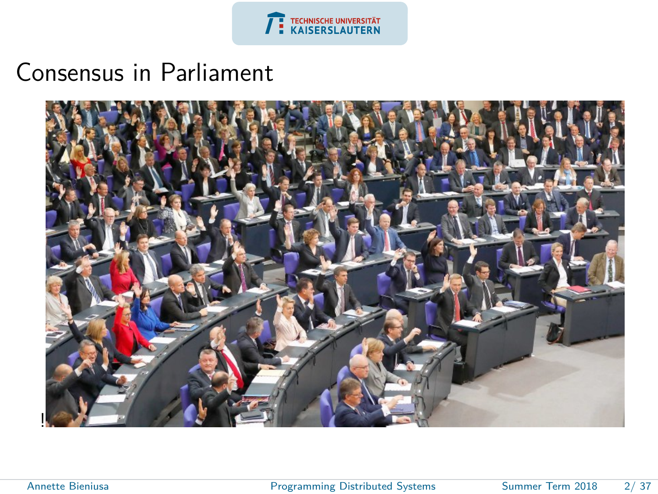

#### Consensus in Parliament

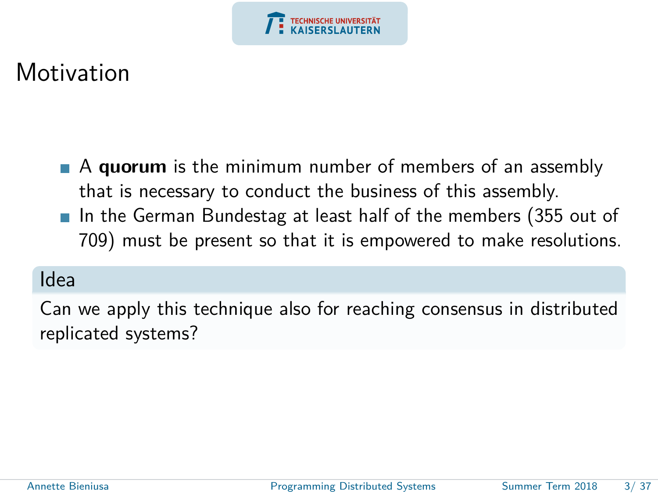

#### Motivation

- **A quorum** is the minimum number of members of an assembly that is necessary to conduct the business of this assembly.
- In the German Bundestag at least half of the members (355 out of 709) must be present so that it is empowered to make resolutions.

#### Idea

Can we apply this technique also for reaching consensus in distributed replicated systems?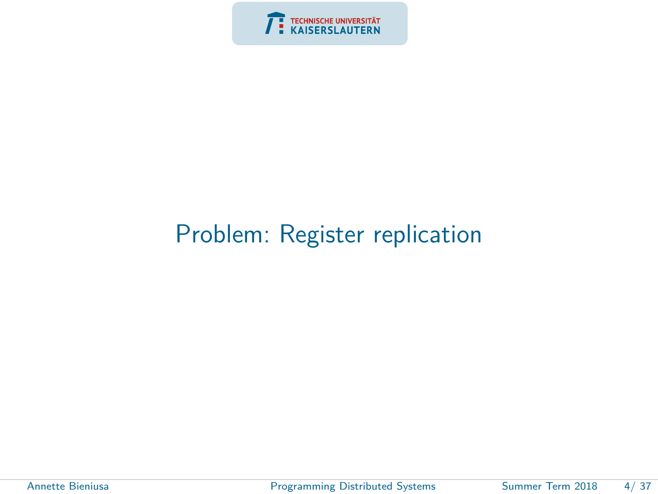<span id="page-3-0"></span>

## [Problem: Register replication](#page-3-0)

Annette Bieniusa **[Programming Distributed Systems](#page-0-0)** Summer Term 2018 4/37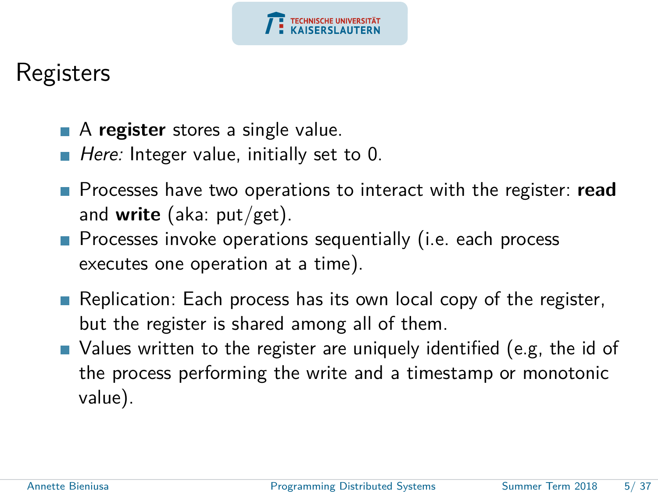

#### Registers

- **A register** stores a single value.
- Here: Integer value, initially set to 0.
- **Processes have two operations to interact with the register: read** and **write** (aka: put/get).
- **Processes invoke operations sequentially (i.e. each process** executes one operation at a time).
- Replication: Each process has its own local copy of the register, but the register is shared among all of them.
- Values written to the register are uniquely identified (e.g, the id of the process performing the write and a timestamp or monotonic value).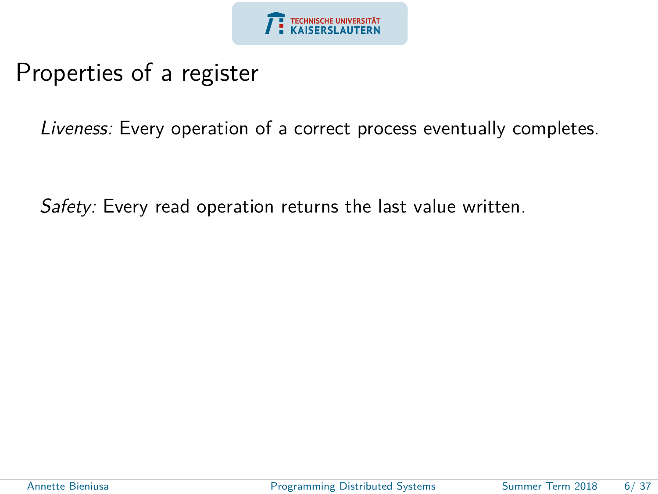

#### Properties of a register

Liveness: Every operation of a correct process eventually completes.

Safety: Every read operation returns the last value written.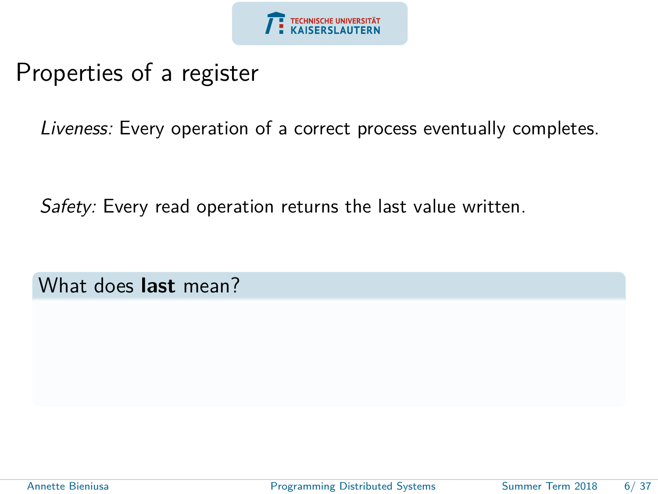

#### Properties of a register

Liveness: Every operation of a correct process eventually completes.

Safety: Every read operation returns the last value written.

What does **last** mean?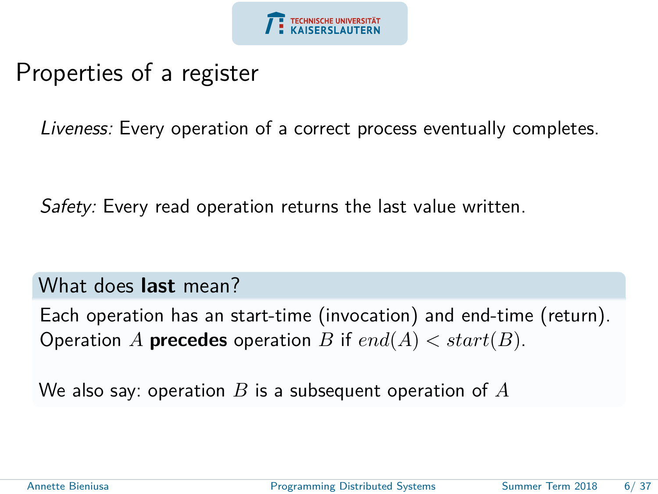

#### Properties of a register

Liveness: Every operation of a correct process eventually completes.

Safety: Every read operation returns the last value written.

What does **last** mean?

Each operation has an start-time (invocation) and end-time (return). Operation A **precedes** operation B if  $end(A) < start(B)$ .

We also say: operation *B* is a subsequent operation of *A*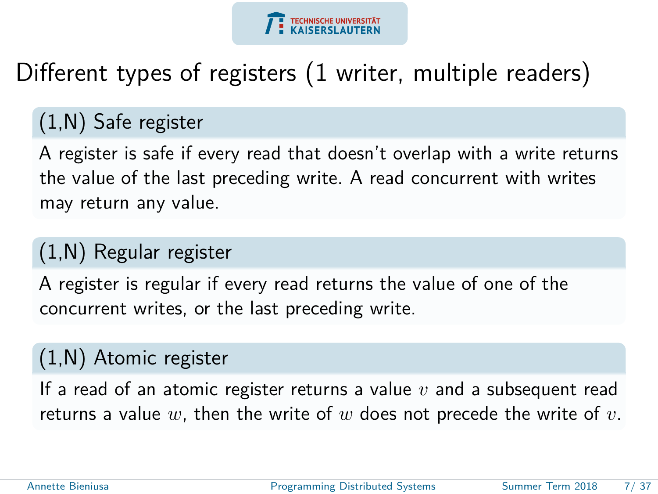

# Different types of registers (1 writer, multiple readers)

#### (1,N) Safe register

A register is safe if every read that doesn't overlap with a write returns the value of the last preceding write. A read concurrent with writes may return any value.

#### (1,N) Regular register

A register is regular if every read returns the value of one of the concurrent writes, or the last preceding write.

#### (1,N) Atomic register

If a read of an atomic register returns a value *v* and a subsequent read returns a value *w*, then the write of *w* does not precede the write of *v*.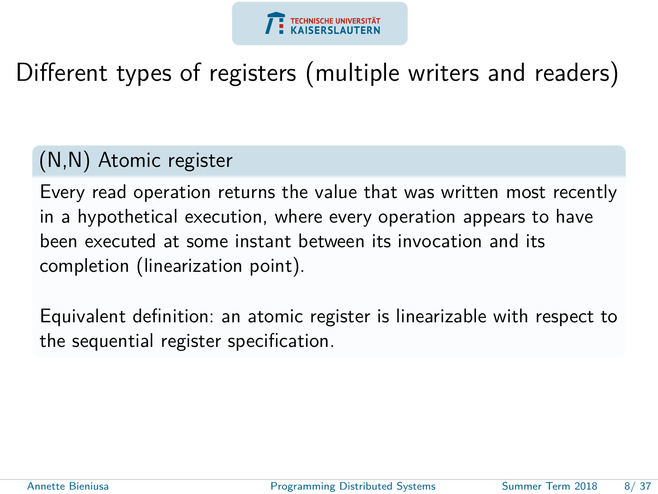

# Different types of registers (multiple writers and readers)

#### (N,N) Atomic register

Every read operation returns the value that was written most recently in a hypothetical execution, where every operation appears to have been executed at some instant between its invocation and its completion (linearization point).

Equivalent definition: an atomic register is linearizable with respect to the sequential register specification.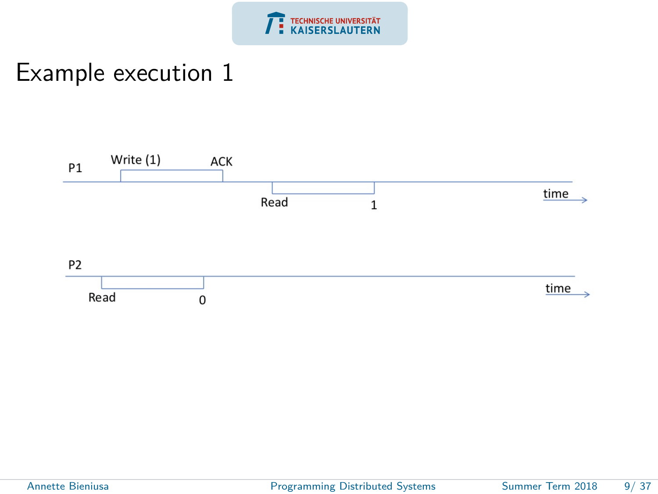

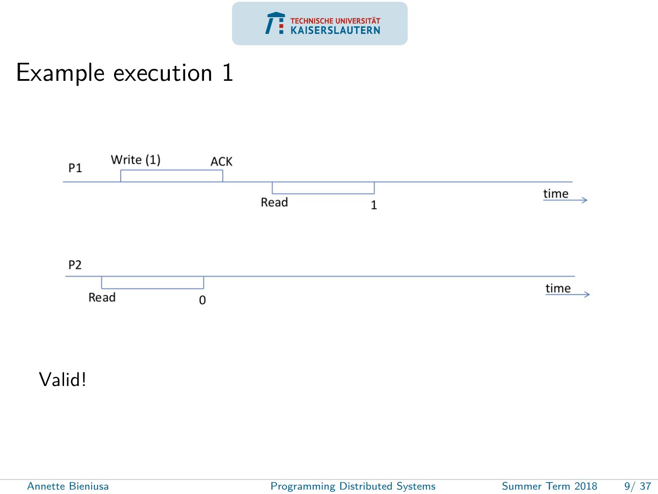



Valid!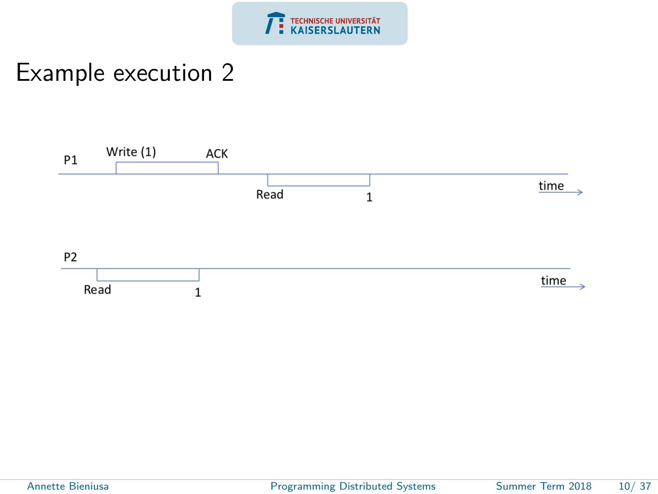

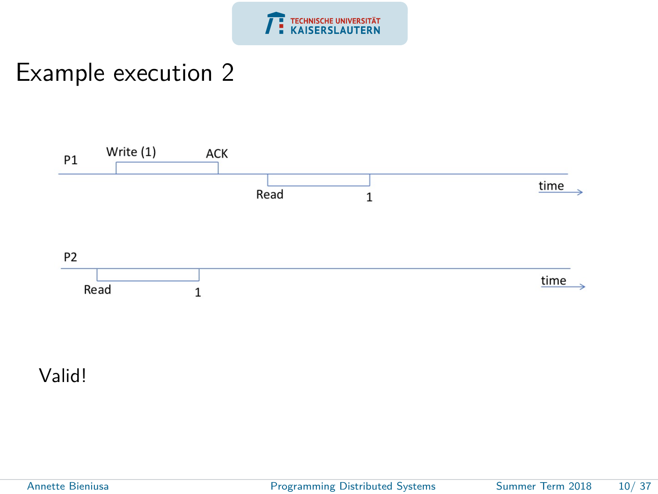



Valid!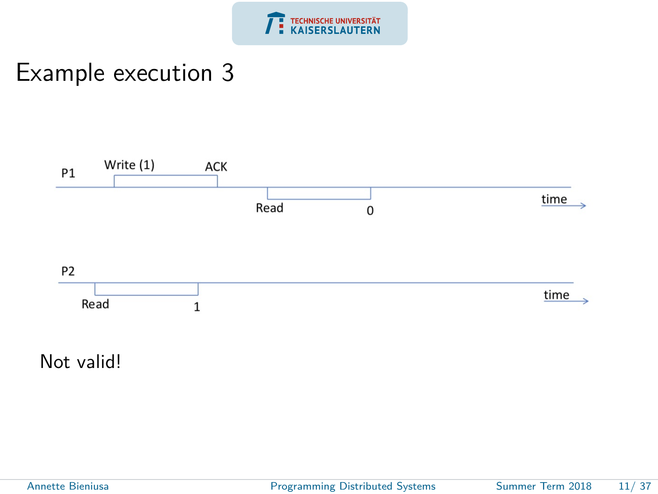



Not valid!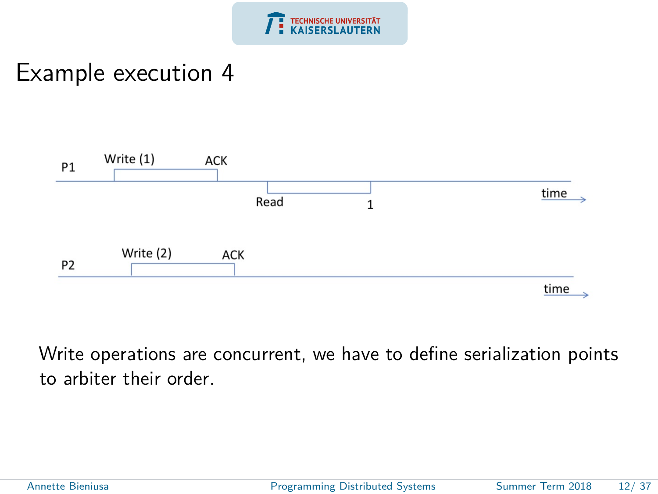



Write operations are concurrent, we have to define serialization points to arbiter their order.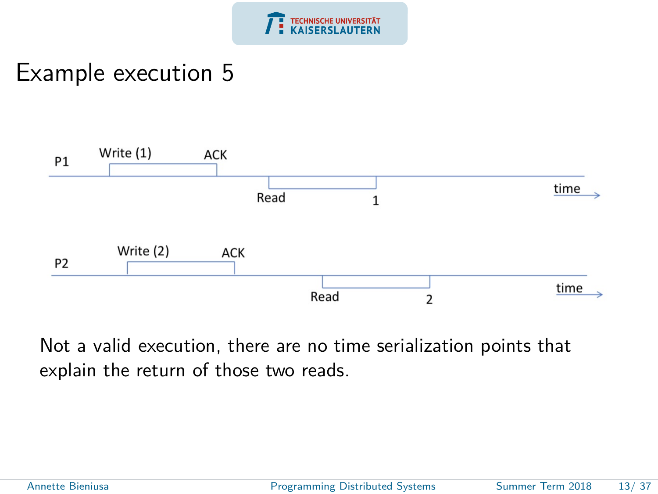



Not a valid execution, there are no time serialization points that explain the return of those two reads.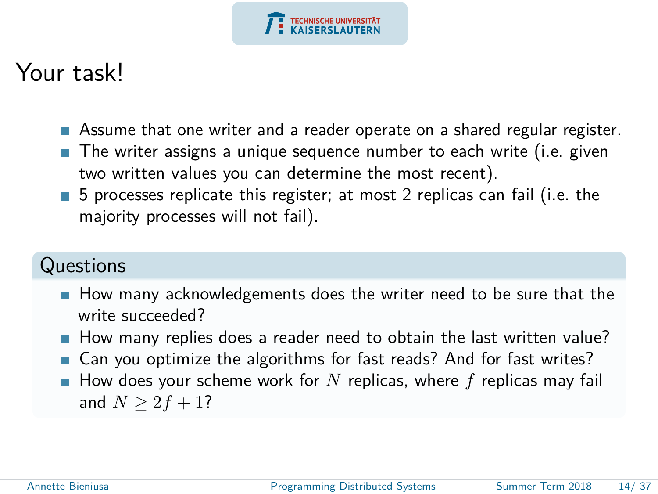

#### Your task!

- Assume that one writer and a reader operate on a shared regular register.
- The writer assigns a unique sequence number to each write (i.e. given two written values you can determine the most recent).
- 5 processes replicate this register; at most 2 replicas can fail (i.e. the majority processes will not fail).

#### Questions

- $\blacksquare$  How many acknowledgements does the writer need to be sure that the write succeeded?
- $\blacksquare$  How many replies does a reader need to obtain the last written value?
- Can you optimize the algorithms for fast reads? And for fast writes?
- $\blacksquare$  How does your scheme work for *N* replicas, where *f* replicas may fail and  $N > 2f + 1$ ?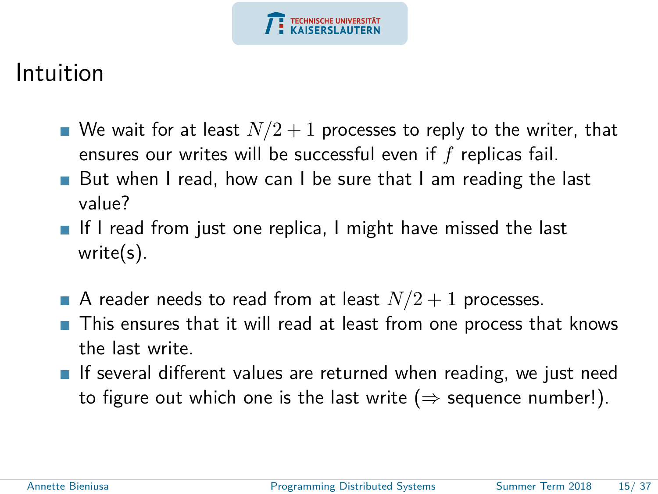

#### Intuition

- $\blacksquare$  We wait for at least  $N/2+1$  processes to reply to the writer, that ensures our writes will be successful even if *f* replicas fail.
- But when I read, how can I be sure that I am reading the last value?
- If I read from just one replica, I might have missed the last write(s).
- A reader needs to read from at least  $N/2 + 1$  processes.
- This ensures that it will read at least from one process that knows the last write.
- **If several different values are returned when reading, we just need** to figure out which one is the last write ( $\Rightarrow$  sequence number!).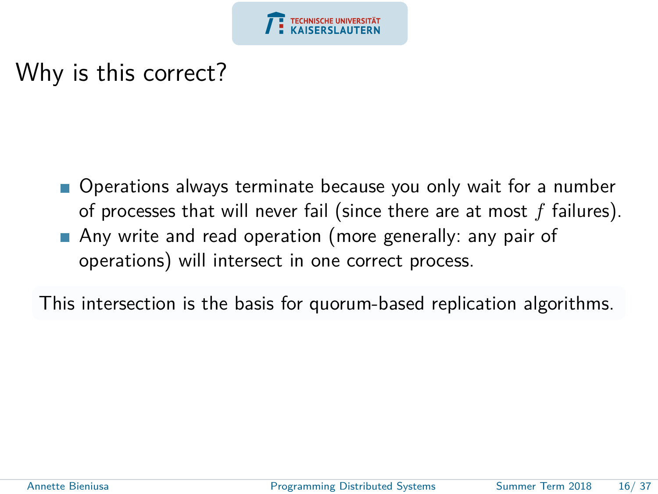

#### Why is this correct?

- **Operations always terminate because you only wait for a number** of processes that will never fail (since there are at most *f* failures).
- Any write and read operation (more generally: any pair of operations) will intersect in one correct process.

This intersection is the basis for quorum-based replication algorithms.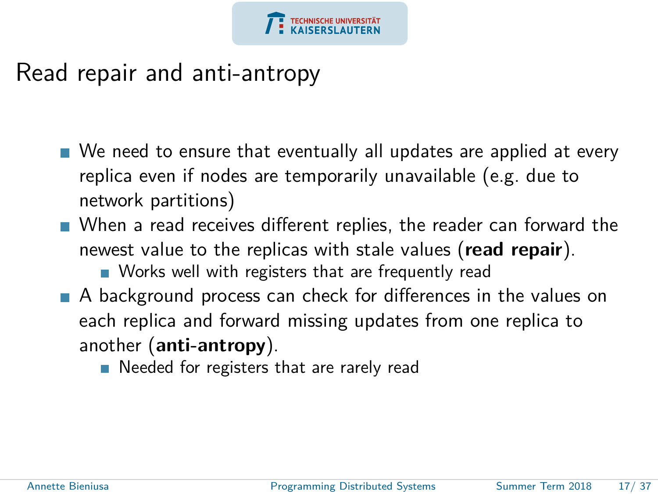

#### Read repair and anti-antropy

- We need to ensure that eventually all updates are applied at every replica even if nodes are temporarily unavailable (e.g. due to network partitions)
- When a read receives different replies, the reader can forward the newest value to the replicas with stale values (**read repair**).
	- Works well with registers that are frequently read
- A background process can check for differences in the values on each replica and forward missing updates from one replica to another (**anti-antropy**).
	- Needed for registers that are rarely read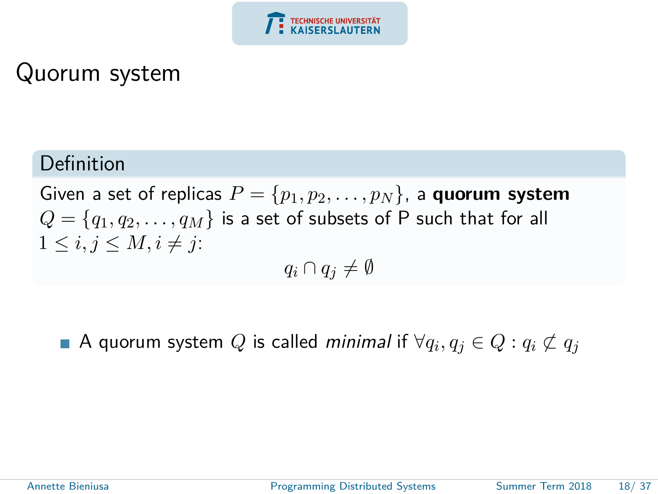

### Quorum system

#### Definition

Given a set of replicas  $P = \{p_1, p_2, \ldots, p_N\}$ , a **quorum system**  $Q = \{q_1, q_2, \ldots, q_M\}$  is a set of subsets of P such that for all  $1 \le i, j \le M, i \ne j$ :  $q_i \cap q_j \neq \emptyset$ 

 $\mathsf{A}\,$  quorum system  $Q$  is called *minimal* if  $\forall q_i, q_j \in Q: q_i \not\subset q_j$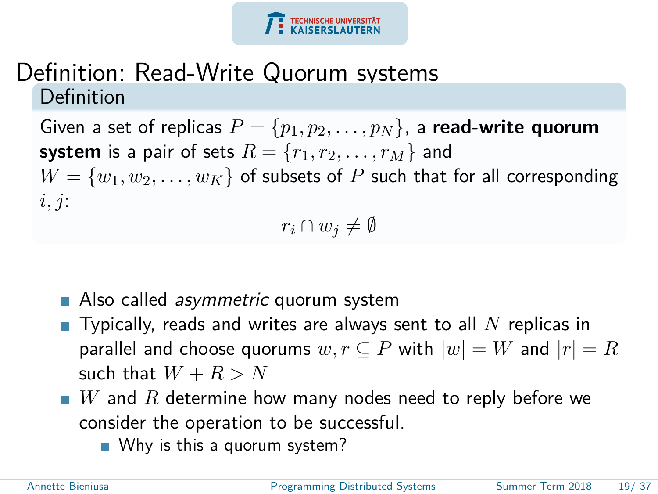

#### Definition: Read-Write Quorum systems Definition

Given a set of replicas  $P = \{p_1, p_2, \ldots, p_N\}$ , a **read-write quorum system** is a pair of sets  $R = \{r_1, r_2, \ldots, r_M\}$  and  $W = \{w_1, w_2, \dots, w_K\}$  of subsets of *P* such that for all corresponding *i, j*:

$$
r_i \cap w_j \neq \emptyset
$$

- Also called asymmetric quorum system
- Typically, reads and writes are always sent to all N replicas in parallel and choose quorums  $w, r \subseteq P$  with  $|w| = W$  and  $|r| = R$ such that  $W + R > N$
- *W* and *R* determine how many nodes need to reply before we consider the operation to be successful.
	- Why is this a quorum system?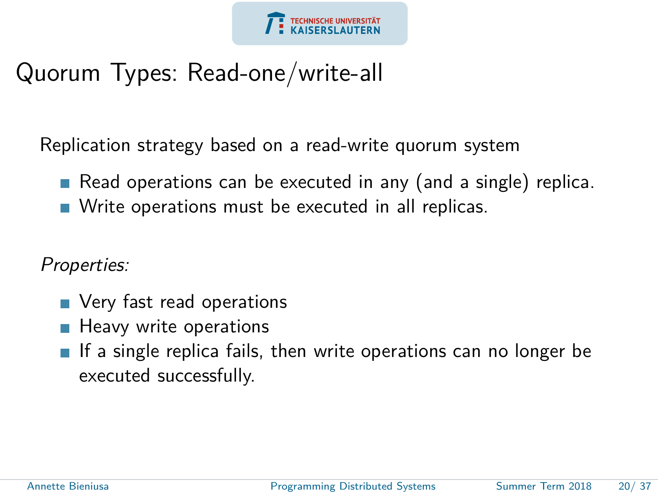

# Quorum Types: Read-one/write-all

Replication strategy based on a read-write quorum system

- Read operations can be executed in any (and a single) replica.
- Write operations must be executed in all replicas.

Properties:

- **Very fast read operations**
- $\blacksquare$  Heavy write operations
- If a single replica fails, then write operations can no longer be executed successfully.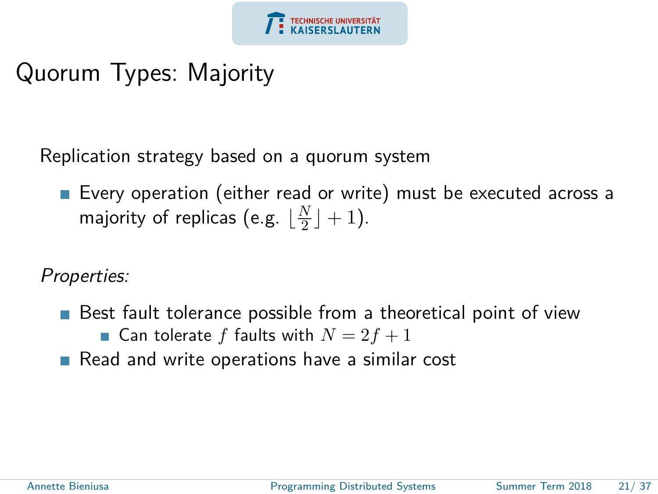

## Quorum Types: Majority

Replication strategy based on a quorum system

Every operation (either read or write) must be executed across a majority of replicas (e.g.  $\lfloor \frac{N}{2} \rfloor$  $\frac{N}{2}$  | + 1).

Properties:

- Best fault tolerance possible from a theoretical point of view **Can tolerate** *f* faults with  $N = 2f + 1$
- Read and write operations have a similar cost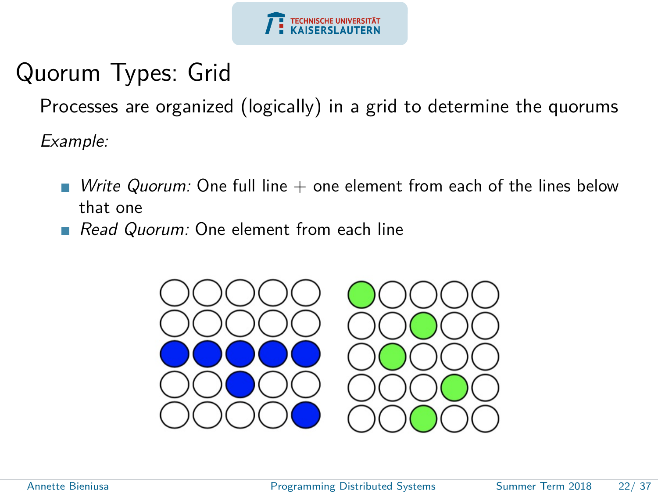

# Quorum Types: Grid

Processes are organized (logically) in a grid to determine the quorums

Example:

- Write Quorum: One full line  $+$  one element from each of the lines below that one
- Read Quorum: One element from each line

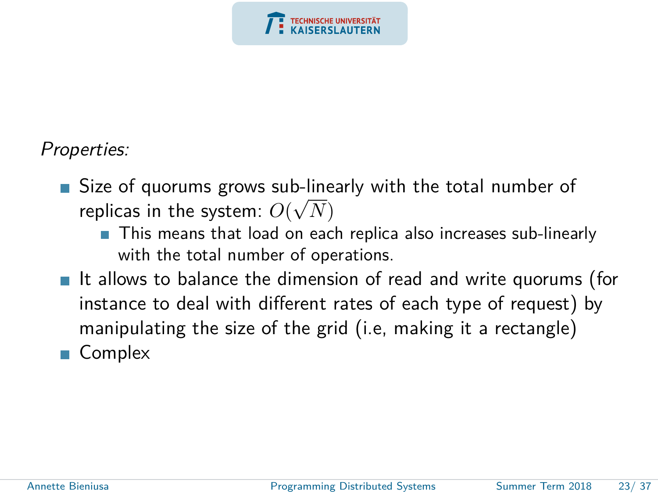

#### Properties:

- Size of quorums grows sub-linearly with the total number of replicas in the system:  $O(\sqrt{N})$ 
	- This means that load on each replica also increases sub-linearly with the total number of operations.
- $\blacksquare$  It allows to balance the dimension of read and write quorums (for instance to deal with different rates of each type of request) by manipulating the size of the grid (i.e, making it a rectangle) Complex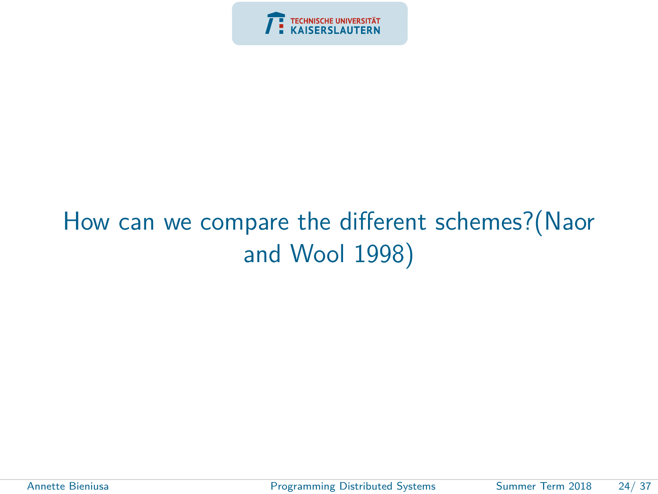

# <span id="page-27-0"></span>[How can we compare the different schemes?\(Naor](#page-27-0) [and Wool 1998\)](#page-27-0)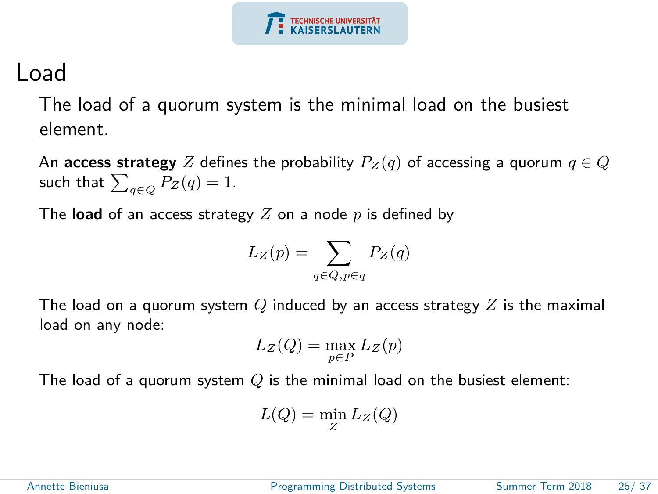

#### Load

The load of a quorum system is the minimal load on the busiest element.

An **access strategy**  $Z$  defines the probability  $P_Z(q)$  of accessing a quorum  $q \in Q$ such that  $\sum_{q \in Q} P_Z(q) = 1$ .

The **load** of an access strategy *Z* on a node *p* is defined by

$$
L_Z(p) = \sum_{q \in Q, p \in q} P_Z(q)
$$

The load on a quorum system *Q* induced by an access strategy *Z* is the maximal load on any node:

$$
L_Z(Q) = \max_{p \in P} L_Z(p)
$$

The load of a quorum system *Q* is the minimal load on the busiest element:

$$
L(Q) = \min_{Z} L_{Z}(Q)
$$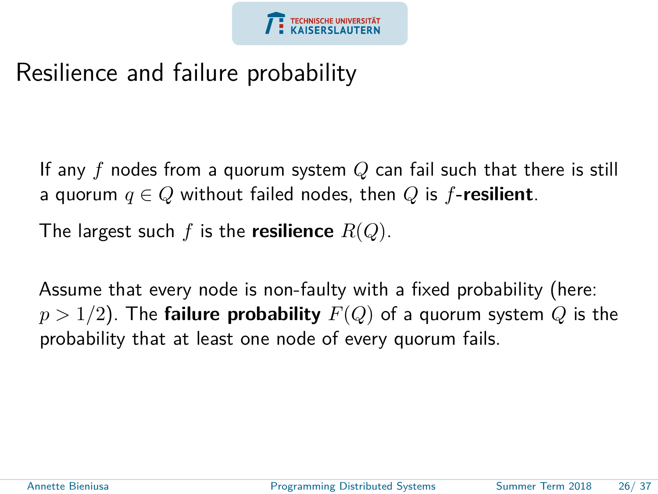

## Resilience and failure probability

If any *f* nodes from a quorum system *Q* can fail such that there is still a quorum *q* ∈ *Q* without failed nodes, then *Q* is *f***-resilient**.

The largest such *f* is the **resilience**  $R(Q)$ .

Assume that every node is non-faulty with a fixed probability (here:  $p > 1/2$ ). The **failure probability**  $F(Q)$  of a quorum system Q is the probability that at least one node of every quorum fails.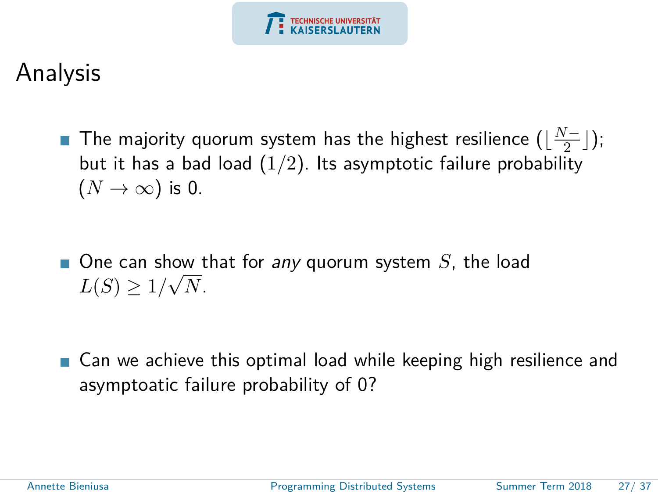

## Analysis

The majority quorum system has the highest resilience ( $\lfloor \frac{N-2}{2} \rfloor$  $\frac{\sqrt{2}}{2}$ ]); but it has a bad load (1*/*2). Its asymptotic failure probability  $(N \to \infty)$  is 0.

One can show that for any quorum system *S*, the load √  $L(S) \geq 1/\sqrt{N}$ .

Can we achieve this optimal load while keeping high resilience and asymptoatic failure probability of 0?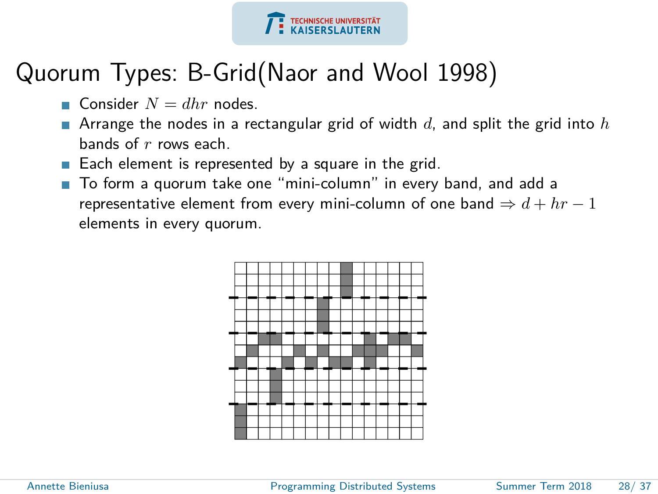

# Quorum Types: B-Grid(Naor and Wool 1998)

- **Consider**  $N = dhr$  nodes.
- Arrange the nodes in a rectangular grid of width *d*, and split the grid into *h* bands of *r* rows each.
- Each element is represented by a square in the grid.
- To form a quorum take one "mini-column" in every band, and add a representative element from every mini-column of one band  $\Rightarrow d + hr - 1$ elements in every quorum.

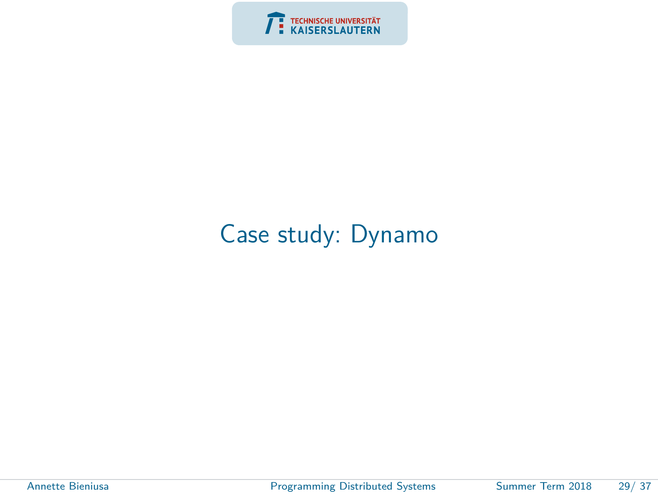<span id="page-32-0"></span>

## [Case study: Dynamo](#page-32-0)

÷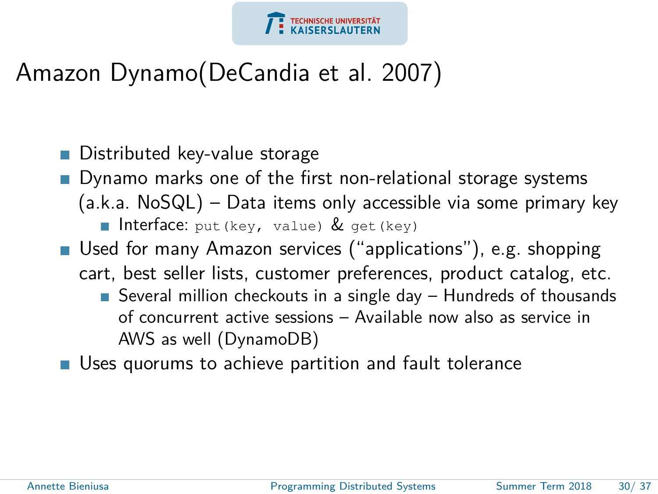

# Amazon Dynamo(DeCandia et al. 2007)

#### Distributed key-value storage

- Dynamo marks one of the first non-relational storage systems (a.k.a. NoSQL) – Data items only accessible via some primary key Interface: put (key, value)  $\&$  get (key)
- Used for many Amazon services ("applications"), e.g. shopping cart, best seller lists, customer preferences, product catalog, etc.
	- Several million checkouts in a single day  $-$  Hundreds of thousands of concurrent active sessions – Available now also as service in AWS as well (DynamoDB)
- Uses quorums to achieve partition and fault tolerance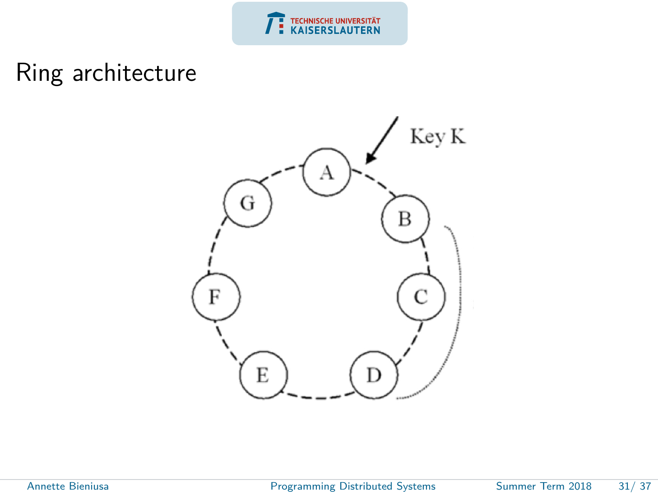

## Ring architecture

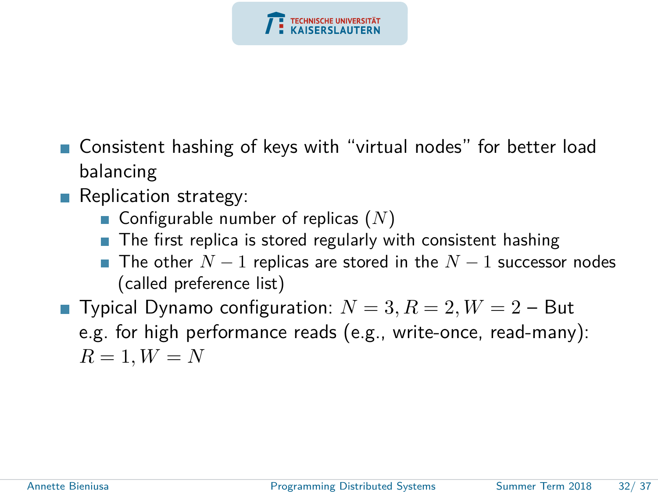

- Consistent hashing of keys with "virtual nodes" for better load balancing
- Replication strategy:
	- Configurable number of replicas (*N*)
	- The first replica is stored regularly with consistent hashing
	- The other  $N-1$  replicas are stored in the  $N-1$  successor nodes (called preference list)
- **Typical Dynamo configuration:**  $N = 3, R = 2, W = 2$  But e.g. for high performance reads (e.g., write-once, read-many):  $R = 1, W = N$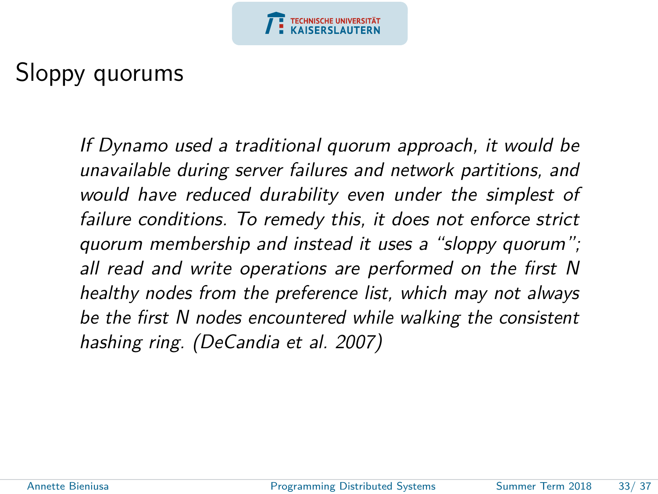

## Sloppy quorums

If Dynamo used a traditional quorum approach, it would be unavailable during server failures and network partitions, and would have reduced durability even under the simplest of failure conditions. To remedy this, it does not enforce strict quorum membership and instead it uses a "sloppy quorum"; all read and write operations are performed on the first N healthy nodes from the preference list, which may not always be the first N nodes encountered while walking the consistent hashing ring. (DeCandia et al. 2007)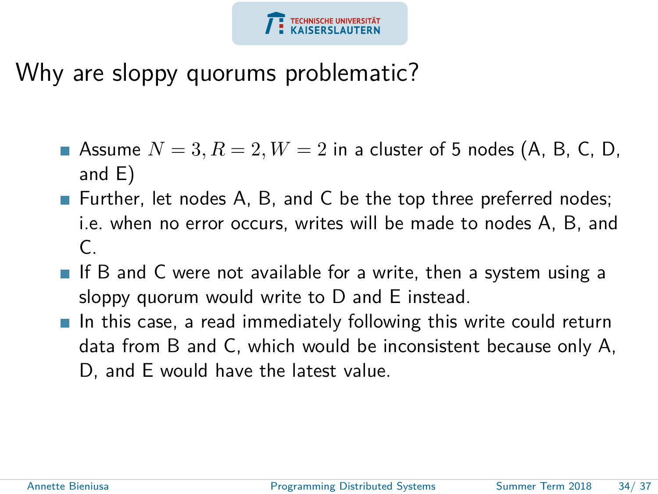

Why are sloppy quorums problematic?

- Assume  $N = 3$ ,  $R = 2$ ,  $W = 2$  in a cluster of 5 nodes (A, B, C, D, and E)
- **Further, let nodes A, B, and C be the top three preferred nodes;** i.e. when no error occurs, writes will be made to nodes A, B, and C.
- If B and C were not available for a write, then a system using a sloppy quorum would write to D and E instead.
- $\blacksquare$  In this case, a read immediately following this write could return data from B and C, which would be inconsistent because only A, D, and E would have the latest value.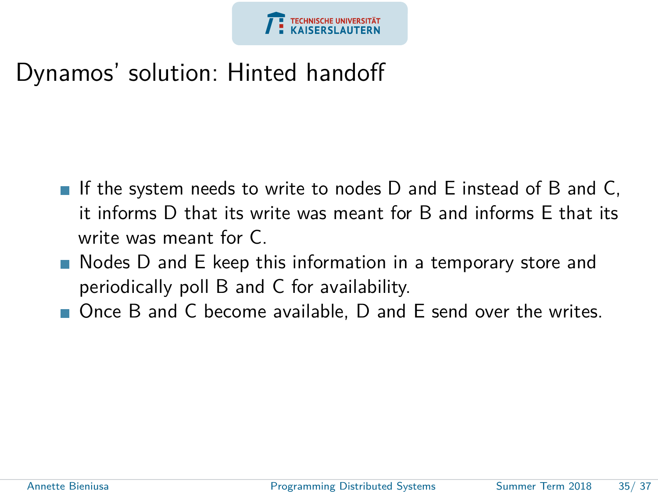

## Dynamos' solution: Hinted handoff

- If the system needs to write to nodes  $D$  and  $E$  instead of  $B$  and  $C$ , it informs D that its write was meant for B and informs E that its write was meant for C.
- Nodes D and E keep this information in a temporary store and periodically poll B and C for availability.
- Once B and C become available, D and E send over the writes.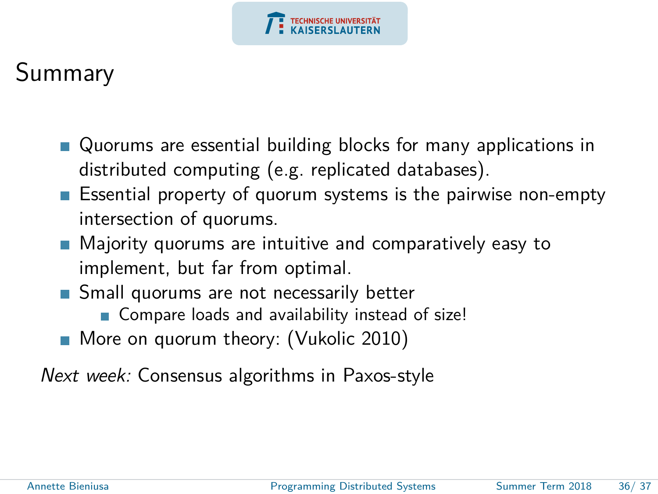

# Summary

- Quorums are essential building blocks for many applications in distributed computing (e.g. replicated databases).
- **Essential property of quorum systems is the pairwise non-empty** intersection of quorums.
- **Majority quorums are intuitive and comparatively easy to** implement, but far from optimal.
- **Small quorums are not necessarily better** 
	- **Compare loads and availability instead of size!**
- **More on quorum theory: (Vukolic 2010)**

Next week: Consensus algorithms in Paxos-style